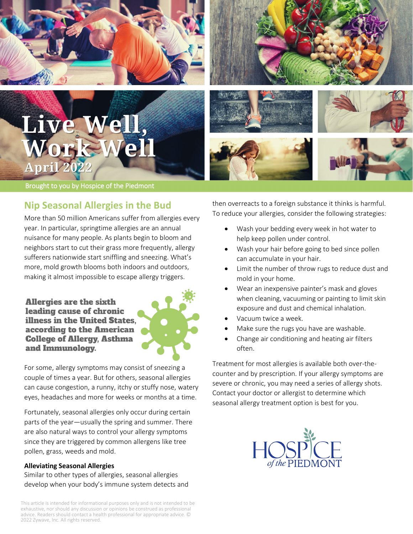



Live April 2022

Brought to you by Hospice of the Piedmont

## **Nip Seasonal Allergies in the Bud**

More than 50 million Americans suffer from allergies every year. In particular, springtime allergies are an annual nuisance for many people. As plants begin to bloom and neighbors start to cut their grass more frequently, allergy sufferers nationwide start sniffling and sneezing. What's more, mold growth blooms both indoors and outdoors, making it almost impossible to escape allergy triggers.

**Allergies are the sixth** leading cause of chronic illness in the United States. according to the American **College of Allergy, Asthma** and Immunology.



For some, allergy symptoms may consist of sneezing a couple of times a year. But for others, seasonal allergies can cause congestion, a runny, itchy or stuffy nose, watery eyes, headaches and more for weeks or months at a time.

Fortunately, seasonal allergies only occur during certain parts of the year—usually the spring and summer. There are also natural ways to control your allergy symptoms since they are triggered by common allergens like tree pollen, grass, weeds and mold.

#### **Alleviating Seasonal Allergies**

Similar to other types of allergies, seasonal allergies develop when your body's immune system detects and

This article is intended for informational purposes only and is not intended to be exhaustive, nor should any discussion or opinions be construed as professional advice. Readers should contact a health professional for appropriate advice. © 2022 Zywave, Inc. All rights reserved.

then overreacts to a foreign substance it thinks is harmful. To reduce your allergies, consider the following strategies:

- Wash your bedding every week in hot water to help keep pollen under control.
- Wash your hair before going to bed since pollen can accumulate in your hair.
- Limit the number of throw rugs to reduce dust and mold in your home.
- Wear an inexpensive painter's mask and gloves when cleaning, vacuuming or painting to limit skin exposure and dust and chemical inhalation.
- Vacuum twice a week.
- Make sure the rugs you have are washable.
- Change air conditioning and heating air filters often.

Treatment for most allergies is available both over-thecounter and by prescription. If your allergy symptoms are severe or chronic, you may need a series of allergy shots. Contact your doctor or allergist to determine which seasonal allergy treatment option is best for you.